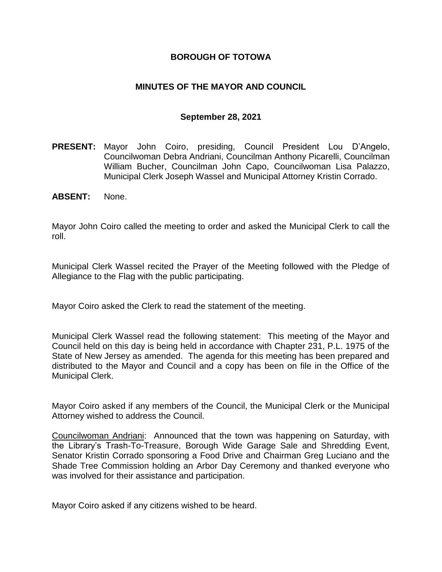## **BOROUGH OF TOTOWA**

## **MINUTES OF THE MAYOR AND COUNCIL**

### **September 28, 2021**

- **PRESENT:** Mayor John Coiro, presiding, Council President Lou D'Angelo, Councilwoman Debra Andriani, Councilman Anthony Picarelli, Councilman William Bucher, Councilman John Capo, Councilwoman Lisa Palazzo, Municipal Clerk Joseph Wassel and Municipal Attorney Kristin Corrado.
- **ABSENT:** None.

Mayor John Coiro called the meeting to order and asked the Municipal Clerk to call the roll.

Municipal Clerk Wassel recited the Prayer of the Meeting followed with the Pledge of Allegiance to the Flag with the public participating.

Mayor Coiro asked the Clerk to read the statement of the meeting.

Municipal Clerk Wassel read the following statement: This meeting of the Mayor and Council held on this day is being held in accordance with Chapter 231, P.L. 1975 of the State of New Jersey as amended. The agenda for this meeting has been prepared and distributed to the Mayor and Council and a copy has been on file in the Office of the Municipal Clerk.

Mayor Coiro asked if any members of the Council, the Municipal Clerk or the Municipal Attorney wished to address the Council.

Councilwoman Andriani: Announced that the town was happening on Saturday, with the Library's Trash-To-Treasure, Borough Wide Garage Sale and Shredding Event, Senator Kristin Corrado sponsoring a Food Drive and Chairman Greg Luciano and the Shade Tree Commission holding an Arbor Day Ceremony and thanked everyone who was involved for their assistance and participation.

Mayor Coiro asked if any citizens wished to be heard.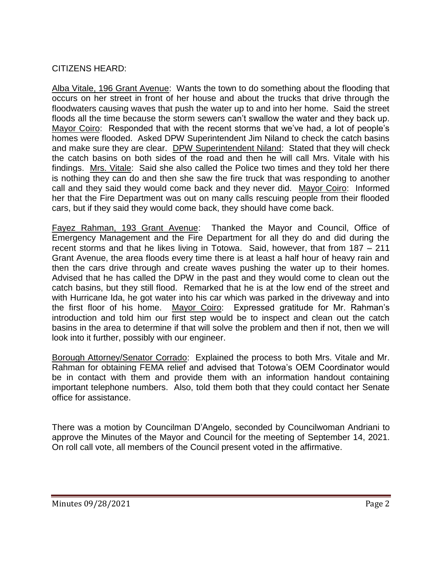# CITIZENS HEARD:

Alba Vitale, 196 Grant Avenue: Wants the town to do something about the flooding that occurs on her street in front of her house and about the trucks that drive through the floodwaters causing waves that push the water up to and into her home. Said the street floods all the time because the storm sewers can't swallow the water and they back up. Mayor Coiro: Responded that with the recent storms that we've had, a lot of people's homes were flooded. Asked DPW Superintendent Jim Niland to check the catch basins and make sure they are clear. DPW Superintendent Niland: Stated that they will check the catch basins on both sides of the road and then he will call Mrs. Vitale with his findings. Mrs. Vitale: Said she also called the Police two times and they told her there is nothing they can do and then she saw the fire truck that was responding to another call and they said they would come back and they never did. Mayor Coiro: Informed her that the Fire Department was out on many calls rescuing people from their flooded cars, but if they said they would come back, they should have come back.

Fayez Rahman, 193 Grant Avenue: Thanked the Mayor and Council, Office of Emergency Management and the Fire Department for all they do and did during the recent storms and that he likes living in Totowa. Said, however, that from 187 – 211 Grant Avenue, the area floods every time there is at least a half hour of heavy rain and then the cars drive through and create waves pushing the water up to their homes. Advised that he has called the DPW in the past and they would come to clean out the catch basins, but they still flood. Remarked that he is at the low end of the street and with Hurricane Ida, he got water into his car which was parked in the driveway and into the first floor of his home. Mayor Coiro: Expressed gratitude for Mr. Rahman's introduction and told him our first step would be to inspect and clean out the catch basins in the area to determine if that will solve the problem and then if not, then we will look into it further, possibly with our engineer.

Borough Attorney/Senator Corrado: Explained the process to both Mrs. Vitale and Mr. Rahman for obtaining FEMA relief and advised that Totowa's OEM Coordinator would be in contact with them and provide them with an information handout containing important telephone numbers. Also, told them both that they could contact her Senate office for assistance.

There was a motion by Councilman D'Angelo, seconded by Councilwoman Andriani to approve the Minutes of the Mayor and Council for the meeting of September 14, 2021. On roll call vote, all members of the Council present voted in the affirmative.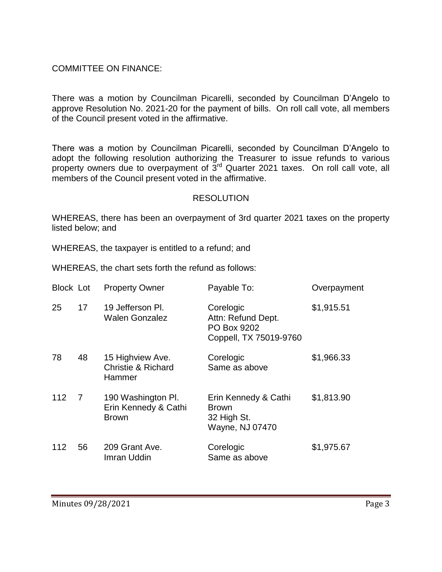## COMMITTEE ON FINANCE:

There was a motion by Councilman Picarelli, seconded by Councilman D'Angelo to approve Resolution No. 2021-20 for the payment of bills. On roll call vote, all members of the Council present voted in the affirmative.

There was a motion by Councilman Picarelli, seconded by Councilman D'Angelo to adopt the following resolution authorizing the Treasurer to issue refunds to various property owners due to overpayment of 3<sup>rd</sup> Quarter 2021 taxes. On roll call vote, all members of the Council present voted in the affirmative.

### RESOLUTION

WHEREAS, there has been an overpayment of 3rd quarter 2021 taxes on the property listed below; and

WHEREAS, the taxpayer is entitled to a refund; and

WHEREAS, the chart sets forth the refund as follows:

| <b>Block Lot</b> |                | <b>Property Owner</b>                                       | Payable To:                                                              | Overpayment |
|------------------|----------------|-------------------------------------------------------------|--------------------------------------------------------------------------|-------------|
| 25               | 17             | 19 Jefferson PI.<br><b>Walen Gonzalez</b>                   | Corelogic<br>Attn: Refund Dept.<br>PO Box 9202<br>Coppell, TX 75019-9760 | \$1,915.51  |
| 78               | 48             | 15 Highview Ave.<br><b>Christie &amp; Richard</b><br>Hammer | Corelogic<br>Same as above                                               | \$1,966.33  |
| 112              | $\overline{7}$ | 190 Washington Pl.<br>Erin Kennedy & Cathi<br><b>Brown</b>  | Erin Kennedy & Cathi<br><b>Brown</b><br>32 High St.<br>Wayne, NJ 07470   | \$1,813.90  |
| 112              | 56             | 209 Grant Ave.<br>Imran Uddin                               | Corelogic<br>Same as above                                               | \$1,975.67  |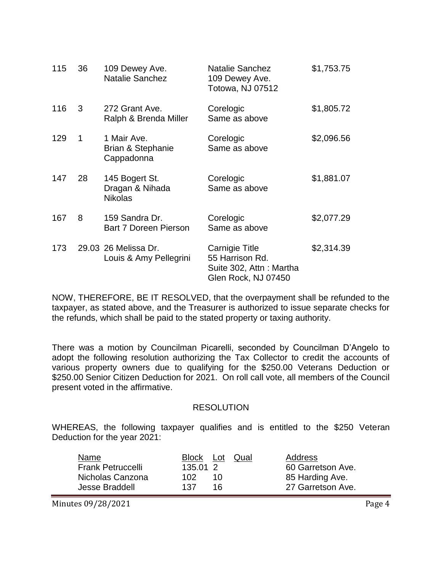| 115 | 36 | 109 Dewey Ave.<br><b>Natalie Sanchez</b>            | <b>Natalie Sanchez</b><br>109 Dewey Ave.<br>Totowa, NJ 07512                        | \$1,753.75 |
|-----|----|-----------------------------------------------------|-------------------------------------------------------------------------------------|------------|
| 116 | 3  | 272 Grant Ave.<br>Ralph & Brenda Miller             | Corelogic<br>Same as above                                                          | \$1,805.72 |
| 129 | 1  | 1 Mair Ave.<br>Brian & Stephanie<br>Cappadonna      | Corelogic<br>Same as above                                                          | \$2,096.56 |
| 147 | 28 | 145 Bogert St.<br>Dragan & Nihada<br><b>Nikolas</b> | Corelogic<br>Same as above                                                          | \$1,881.07 |
| 167 | 8  | 159 Sandra Dr.<br><b>Bart 7 Doreen Pierson</b>      | Corelogic<br>Same as above                                                          | \$2,077.29 |
| 173 |    | 29.03 26 Melissa Dr.<br>Louis & Amy Pellegrini      | Carnigie Title<br>55 Harrison Rd.<br>Suite 302, Attn: Martha<br>Glen Rock, NJ 07450 | \$2,314.39 |

NOW, THEREFORE, BE IT RESOLVED, that the overpayment shall be refunded to the taxpayer, as stated above, and the Treasurer is authorized to issue separate checks for the refunds, which shall be paid to the stated property or taxing authority.

There was a motion by Councilman Picarelli, seconded by Councilman D'Angelo to adopt the following resolution authorizing the Tax Collector to credit the accounts of various property owners due to qualifying for the \$250.00 Veterans Deduction or \$250.00 Senior Citizen Deduction for 2021. On roll call vote, all members of the Council present voted in the affirmative.

#### RESOLUTION

WHEREAS, the following taxpayer qualifies and is entitled to the \$250 Veteran Deduction for the year 2021:

| Name                     |          | Block Lot Qual | Address           |
|--------------------------|----------|----------------|-------------------|
| <b>Frank Petruccelli</b> | 135.01 2 |                | 60 Garretson Ave. |
| Nicholas Canzona         | 102.     | 10.            | 85 Harding Ave.   |
| Jesse Braddell           | 137      | 16.            | 27 Garretson Ave. |

Minutes 09/28/2021 **Page 4**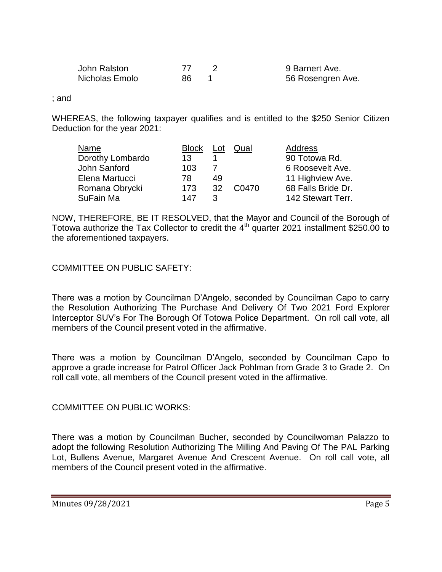| John Ralston   |    | 9 Barnert Ave.    |
|----------------|----|-------------------|
| Nicholas Emolo | 86 | 56 Rosengren Ave. |

; and

WHEREAS, the following taxpayer qualifies and is entitled to the \$250 Senior Citizen Deduction for the year 2021:

| Name             | <b>Block</b> | Lot       | Qual  | Address            |
|------------------|--------------|-----------|-------|--------------------|
| Dorothy Lombardo | 13           |           |       | 90 Totowa Rd.      |
| John Sanford     | 103          |           |       | 6 Roosevelt Ave.   |
| Elena Martucci   | 78           | 49        |       | 11 Highview Ave.   |
| Romana Obrycki   | 173          | <b>32</b> | C0470 | 68 Falls Bride Dr. |
| SuFain Ma        | 147          | ્ર        |       | 142 Stewart Terr.  |

NOW, THEREFORE, BE IT RESOLVED, that the Mayor and Council of the Borough of Totowa authorize the Tax Collector to credit the 4<sup>th</sup> quarter 2021 installment \$250.00 to the aforementioned taxpayers.

## COMMITTEE ON PUBLIC SAFETY:

There was a motion by Councilman D'Angelo, seconded by Councilman Capo to carry the Resolution Authorizing The Purchase And Delivery Of Two 2021 Ford Explorer Interceptor SUV's For The Borough Of Totowa Police Department. On roll call vote, all members of the Council present voted in the affirmative.

There was a motion by Councilman D'Angelo, seconded by Councilman Capo to approve a grade increase for Patrol Officer Jack Pohlman from Grade 3 to Grade 2. On roll call vote, all members of the Council present voted in the affirmative.

COMMITTEE ON PUBLIC WORKS:

There was a motion by Councilman Bucher, seconded by Councilwoman Palazzo to adopt the following Resolution Authorizing The Milling And Paving Of The PAL Parking Lot, Bullens Avenue, Margaret Avenue And Crescent Avenue. On roll call vote, all members of the Council present voted in the affirmative.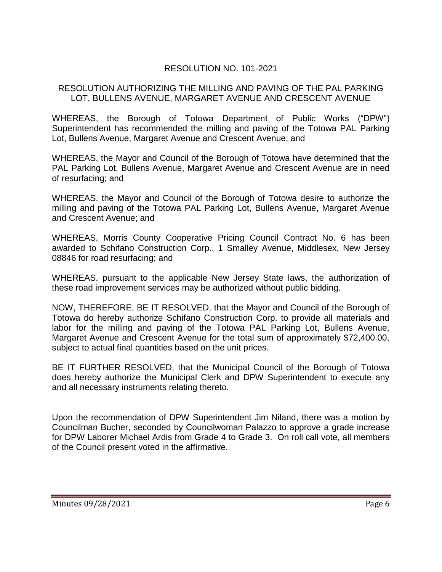# RESOLUTION NO. 101-2021

## RESOLUTION AUTHORIZING THE MILLING AND PAVING OF THE PAL PARKING LOT, BULLENS AVENUE, MARGARET AVENUE AND CRESCENT AVENUE

WHEREAS, the Borough of Totowa Department of Public Works ("DPW") Superintendent has recommended the milling and paving of the Totowa PAL Parking Lot, Bullens Avenue, Margaret Avenue and Crescent Avenue; and

WHEREAS, the Mayor and Council of the Borough of Totowa have determined that the PAL Parking Lot, Bullens Avenue, Margaret Avenue and Crescent Avenue are in need of resurfacing; and

WHEREAS, the Mayor and Council of the Borough of Totowa desire to authorize the milling and paving of the Totowa PAL Parking Lot, Bullens Avenue, Margaret Avenue and Crescent Avenue; and

WHEREAS, Morris County Cooperative Pricing Council Contract No. 6 has been awarded to Schifano Construction Corp., 1 Smalley Avenue, Middlesex, New Jersey 08846 for road resurfacing; and

WHEREAS, pursuant to the applicable New Jersey State laws, the authorization of these road improvement services may be authorized without public bidding.

NOW, THEREFORE, BE IT RESOLVED, that the Mayor and Council of the Borough of Totowa do hereby authorize Schifano Construction Corp. to provide all materials and labor for the milling and paving of the Totowa PAL Parking Lot, Bullens Avenue, Margaret Avenue and Crescent Avenue for the total sum of approximately \$72,400.00, subject to actual final quantities based on the unit prices.

BE IT FURTHER RESOLVED, that the Municipal Council of the Borough of Totowa does hereby authorize the Municipal Clerk and DPW Superintendent to execute any and all necessary instruments relating thereto.

Upon the recommendation of DPW Superintendent Jim Niland, there was a motion by Councilman Bucher, seconded by Councilwoman Palazzo to approve a grade increase for DPW Laborer Michael Ardis from Grade 4 to Grade 3. On roll call vote, all members of the Council present voted in the affirmative.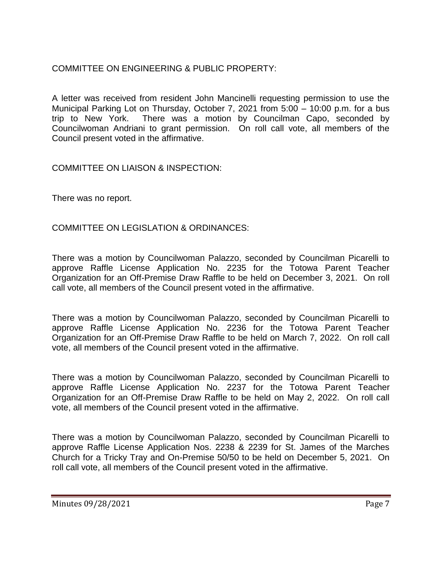# COMMITTEE ON ENGINEERING & PUBLIC PROPERTY:

A letter was received from resident John Mancinelli requesting permission to use the Municipal Parking Lot on Thursday, October 7, 2021 from 5:00 – 10:00 p.m. for a bus trip to New York. There was a motion by Councilman Capo, seconded by Councilwoman Andriani to grant permission. On roll call vote, all members of the Council present voted in the affirmative.

COMMITTEE ON LIAISON & INSPECTION:

There was no report.

COMMITTEE ON LEGISLATION & ORDINANCES:

There was a motion by Councilwoman Palazzo, seconded by Councilman Picarelli to approve Raffle License Application No. 2235 for the Totowa Parent Teacher Organization for an Off-Premise Draw Raffle to be held on December 3, 2021. On roll call vote, all members of the Council present voted in the affirmative.

There was a motion by Councilwoman Palazzo, seconded by Councilman Picarelli to approve Raffle License Application No. 2236 for the Totowa Parent Teacher Organization for an Off-Premise Draw Raffle to be held on March 7, 2022. On roll call vote, all members of the Council present voted in the affirmative.

There was a motion by Councilwoman Palazzo, seconded by Councilman Picarelli to approve Raffle License Application No. 2237 for the Totowa Parent Teacher Organization for an Off-Premise Draw Raffle to be held on May 2, 2022. On roll call vote, all members of the Council present voted in the affirmative.

There was a motion by Councilwoman Palazzo, seconded by Councilman Picarelli to approve Raffle License Application Nos. 2238 & 2239 for St. James of the Marches Church for a Tricky Tray and On-Premise 50/50 to be held on December 5, 2021. On roll call vote, all members of the Council present voted in the affirmative.